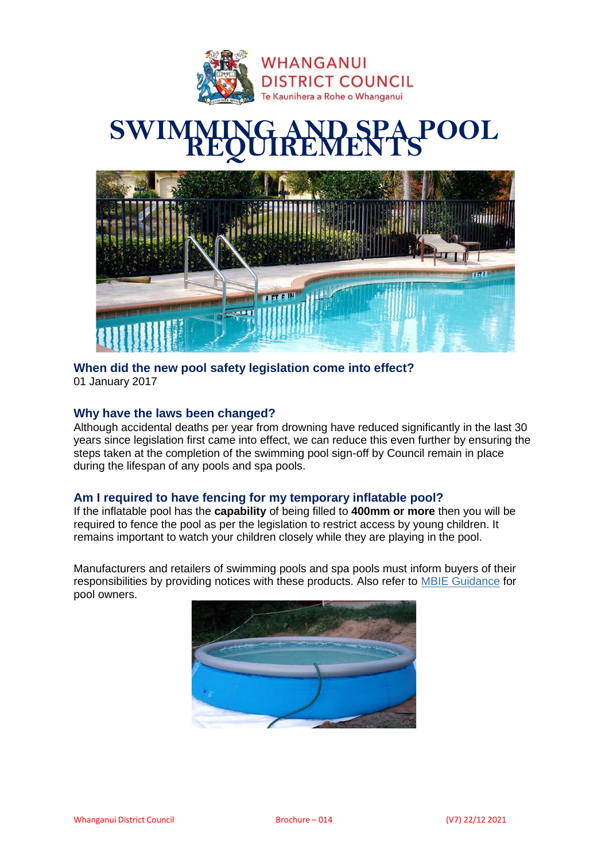

# **SWIMMING AND SPA POOL REQUIREMENTS**



## **When did the new pool safety legislation come into effect?** 01 January 2017

## **Why have the laws been changed?**

Although accidental deaths per year from drowning have reduced significantly in the last 30 years since legislation first came into effect, we can reduce this even further by ensuring the steps taken at the completion of the swimming pool sign-off by Council remain in place during the lifespan of any pools and spa pools.

# **Am I required to have fencing for my temporary inflatable pool?**

If the inflatable pool has the **capability** of being filled to **400mm or more** then you will be required to fence the pool as per the legislation to restrict access by young children. It remains important to watch your children closely while they are playing in the pool.

Manufacturers and retailers of swimming pools and spa pools must inform buyers of their responsibilities by providing notices with these products. Also refer to [MBIE Guidance](https://www.building.govt.nz/building-code-compliance/f-safety-of-users/pool-safety/guidance-for-pool-owners/safety-guidance-for-pool-owners) for pool owners.

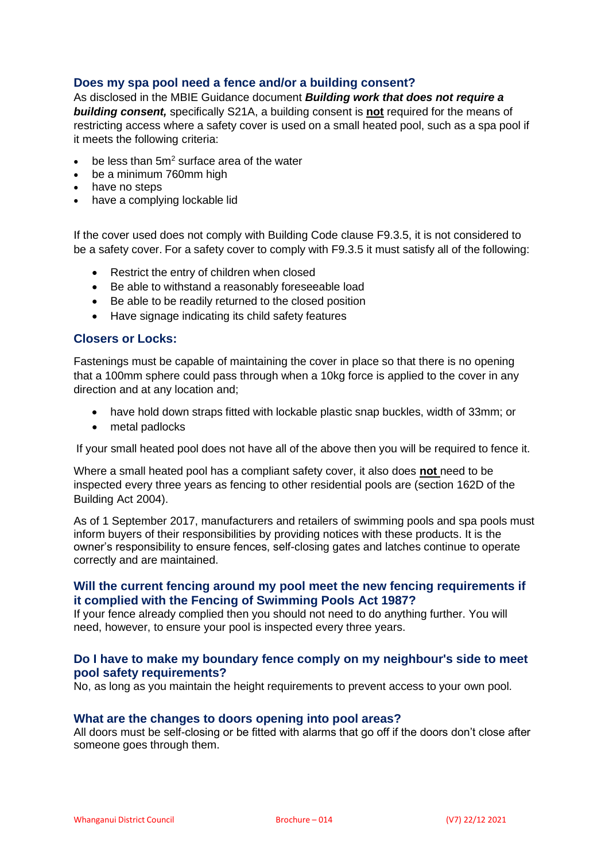## **Does my spa pool need a fence and/or a building consent?**

As disclosed in the MBIE Guidance document *Building work that does not require a building consent,* specifically S21A, a building consent is **not** required for the means of restricting access where a safety cover is used on a small heated pool, such as a spa pool if it meets the following criteria:

- $\bullet$  be less than 5m<sup>2</sup> surface area of the water
- be a minimum 760mm high
- have no steps
- have a complying lockable lid

If the cover used does not comply with Building Code clause F9.3.5, it is not considered to be a safety cover. For a safety cover to comply with F9.3.5 it must satisfy all of the following:

- Restrict the entry of children when closed
- Be able to withstand a reasonably foreseeable load
- Be able to be readily returned to the closed position
- Have signage indicating its child safety features

## **Closers or Locks:**

Fastenings must be capable of maintaining the cover in place so that there is no opening that a 100mm sphere could pass through when a 10kg force is applied to the cover in any direction and at any location and;

- have hold down straps fitted with lockable plastic snap buckles, width of 33mm; or
- metal padlocks

If your small heated pool does not have all of the above then you will be required to fence it.

Where a small heated pool has a compliant safety cover, it also does **not** need to be inspected every three years as fencing to other residential pools are (section 162D of the Building Act 2004).

As of 1 September 2017, manufacturers and retailers of swimming pools and spa pools must inform buyers of their responsibilities by providing notices with these products. It is the owner's responsibility to ensure fences, self-closing gates and latches continue to operate correctly and are maintained.

## **Will the current fencing around my pool meet the new fencing requirements if it complied with the Fencing of Swimming Pools Act 1987?**

If your fence already complied then you should not need to do anything further. You will need, however, to ensure your pool is inspected every three years.

## **Do I have to make my boundary fence comply on my neighbour's side to meet pool safety requirements?**

No, as long as you maintain the height requirements to prevent access to your own pool.

#### **What are the changes to doors opening into pool areas?**

All doors must be self-closing or be fitted with alarms that go off if the doors don't close after someone goes through them.